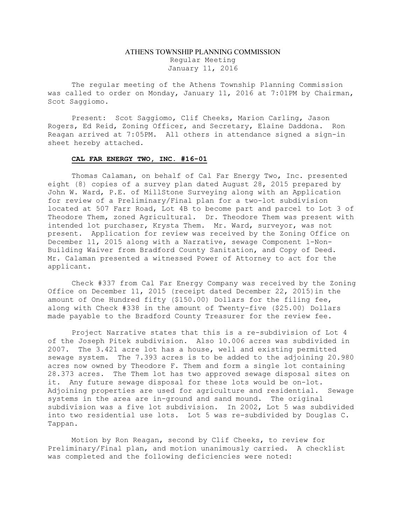## ATHENS TOWNSHIP PLANNING COMMISSION Regular Meeting January 11, 2016

The regular meeting of the Athens Township Planning Commission was called to order on Monday, January 11, 2016 at 7:01PM by Chairman, Scot Saggiomo.

Present: Scot Saggiomo, Clif Cheeks, Marion Carling, Jason Rogers, Ed Reid, Zoning Officer, and Secretary, Elaine Daddona. Ron Reagan arrived at 7:05PM. All others in attendance signed a sign-in sheet hereby attached.

## CAL FAR ENERGY TWO, INC. #16-01

Thomas Calaman, on behalf of Cal Far Energy Two, Inc. presented eight (8) copies of a survey plan dated August 28, 2015 prepared by John W. Ward, P.E. of MillStone Surveying along with an Application for review of a Preliminary/Final plan for a two-lot subdivision located at 507 Farr Road, Lot 4B to become part and parcel to Lot 3 of Theodore Them, zoned Agricultural. Dr. Theodore Them was present with intended lot purchaser, Krysta Them. Mr. Ward, surveyor, was not present. Application for review was received by the Zoning Office on December 11, 2015 along with a Narrative, sewage Component 1-Non-Building Waiver from Bradford County Sanitation, and Copy of Deed. Mr. Calaman presented a witnessed Power of Attorney to act for the applicant.

Check #337 from Cal Far Energy Company was received by the Zoning Office on December 11, 2015 (receipt dated December 22, 2015)in the amount of One Hundred fifty (\$150.00) Dollars for the filing fee, along with Check #338 in the amount of Twenty-five (\$25.00) Dollars made payable to the Bradford County Treasurer for the review fee.

Project Narrative states that this is a re-subdivision of Lot 4 of the Joseph Pitek subdivision. Also 10.006 acres was subdivided in 2007. The 3.421 acre lot has a house, well and existing permitted sewage system. The 7.393 acres is to be added to the adjoining 20.980 acres now owned by Theodore F. Them and form a single lot containing 28.373 acres. The Them lot has two approved sewage disposal sites on it. Any future sewage disposal for these lots would be on-lot. Adjoining properties are used for agriculture and residential. Sewage systems in the area are in-ground and sand mound. The original subdivision was a five lot subdivision. In 2002, Lot 5 was subdivided into two residential use lots. Lot 5 was re-subdivided by Douglas C. Tappan.

Motion by Ron Reagan, second by Clif Cheeks, to review for Preliminary/Final plan, and motion unanimously carried. A checklist was completed and the following deficiencies were noted: